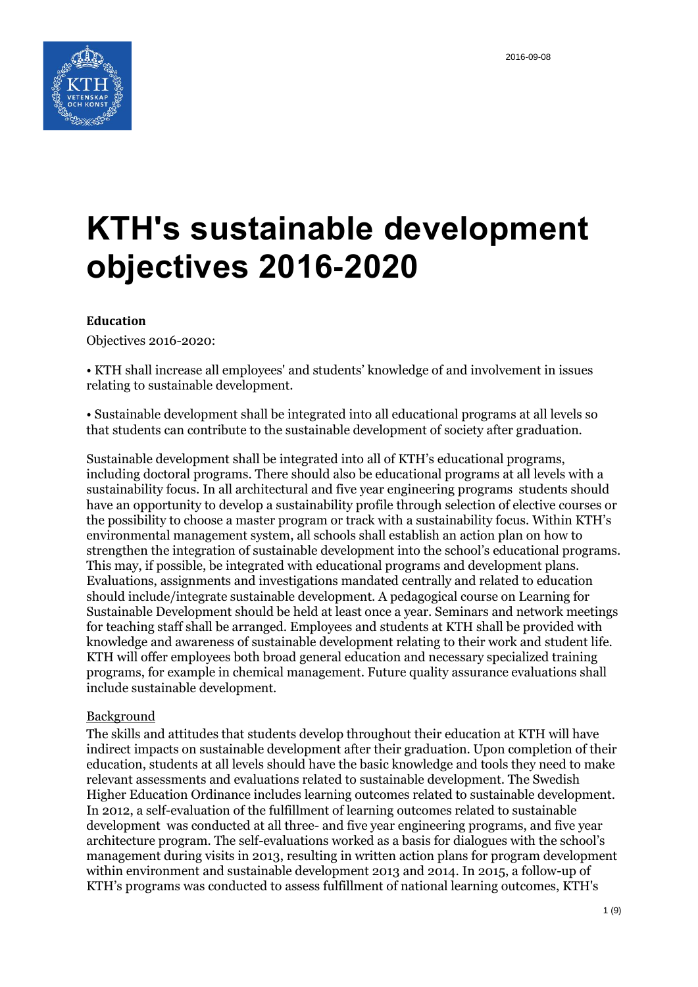

# **KTH's sustainable development objectives 2016-2020**

#### **Education**

Objectives 2016-2020:

• KTH shall increase all employees' and students' knowledge of and involvement in issues relating to sustainable development.

• Sustainable development shall be integrated into all educational programs at all levels so that students can contribute to the sustainable development of society after graduation.

Sustainable development shall be integrated into all of KTH's educational programs, including doctoral programs. There should also be educational programs at all levels with a sustainability focus. In all architectural and five year engineering programs students should have an opportunity to develop a sustainability profile through selection of elective courses or the possibility to choose a master program or track with a sustainability focus. Within KTH's environmental management system, all schools shall establish an action plan on how to strengthen the integration of sustainable development into the school's educational programs. This may, if possible, be integrated with educational programs and development plans. Evaluations, assignments and investigations mandated centrally and related to education should include/integrate sustainable development. A pedagogical course on Learning for Sustainable Development should be held at least once a year. Seminars and network meetings for teaching staff shall be arranged. Employees and students at KTH shall be provided with knowledge and awareness of sustainable development relating to their work and student life. KTH will offer employees both broad general education and necessary specialized training programs, for example in chemical management. Future quality assurance evaluations shall include sustainable development.

#### Background

The skills and attitudes that students develop throughout their education at KTH will have indirect impacts on sustainable development after their graduation. Upon completion of their education, students at all levels should have the basic knowledge and tools they need to make relevant assessments and evaluations related to sustainable development. The Swedish Higher Education Ordinance includes learning outcomes related to sustainable development. In 2012, a self-evaluation of the fulfillment of learning outcomes related to sustainable development was conducted at all three- and five year engineering programs, and five year architecture program. The self-evaluations worked as a basis for dialogues with the school's management during visits in 2013, resulting in written action plans for program development within environment and sustainable development 2013 and 2014. In 2015, a follow-up of KTH's programs was conducted to assess fulfillment of national learning outcomes, KTH's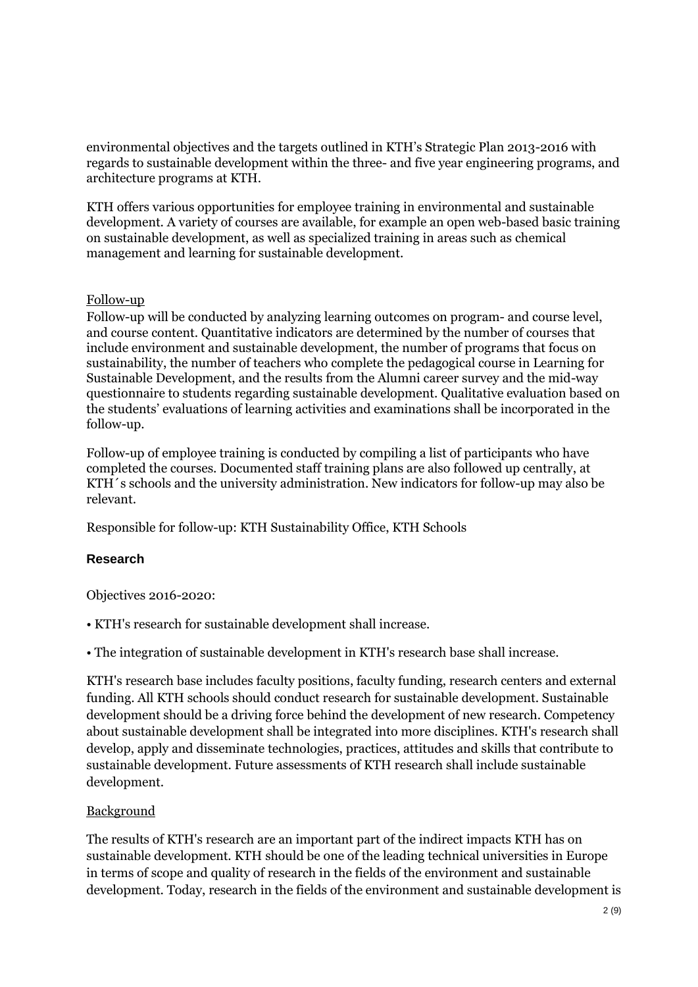environmental objectives and the targets outlined in KTH's Strategic Plan 2013-2016 with regards to sustainable development within the three- and five year engineering programs, and architecture programs at KTH.

KTH offers various opportunities for employee training in environmental and sustainable development. A variety of courses are available, for example an open web-based basic training on sustainable development, as well as specialized training in areas such as chemical management and learning for sustainable development.

## Follow-up

Follow-up will be conducted by analyzing learning outcomes on program- and course level, and course content. Quantitative indicators are determined by the number of courses that include environment and sustainable development, the number of programs that focus on sustainability, the number of teachers who complete the pedagogical course in Learning for Sustainable Development, and the results from the Alumni career survey and the mid-way questionnaire to students regarding sustainable development. Qualitative evaluation based on the students' evaluations of learning activities and examinations shall be incorporated in the follow-up.

Follow-up of employee training is conducted by compiling a list of participants who have completed the courses. Documented staff training plans are also followed up centrally, at KTH´s schools and the university administration. New indicators for follow-up may also be relevant.

Responsible for follow-up: KTH Sustainability Office, KTH Schools

# **Research**

Objectives 2016-2020:

• KTH's research for sustainable development shall increase.

• The integration of sustainable development in KTH's research base shall increase.

KTH's research base includes faculty positions, faculty funding, research centers and external funding. All KTH schools should conduct research for sustainable development. Sustainable development should be a driving force behind the development of new research. Competency about sustainable development shall be integrated into more disciplines. KTH's research shall develop, apply and disseminate technologies, practices, attitudes and skills that contribute to sustainable development. Future assessments of KTH research shall include sustainable development.

# Background

The results of KTH's research are an important part of the indirect impacts KTH has on sustainable development. KTH should be one of the leading technical universities in Europe in terms of scope and quality of research in the fields of the environment and sustainable development. Today, research in the fields of the environment and sustainable development is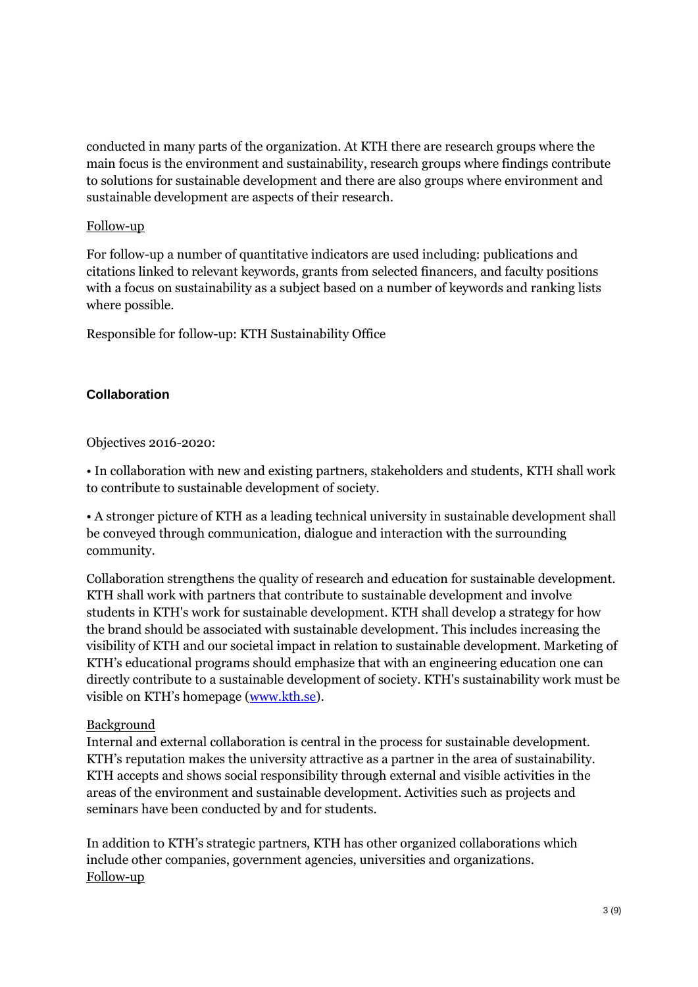conducted in many parts of the organization. At KTH there are research groups where the main focus is the environment and sustainability, research groups where findings contribute to solutions for sustainable development and there are also groups where environment and sustainable development are aspects of their research.

#### Follow-up

For follow-up a number of quantitative indicators are used including: publications and citations linked to relevant keywords, grants from selected financers, and faculty positions with a focus on sustainability as a subject based on a number of keywords and ranking lists where possible.

Responsible for follow-up: KTH Sustainability Office

## **Collaboration**

#### Objectives 2016-2020:

• In collaboration with new and existing partners, stakeholders and students, KTH shall work to contribute to sustainable development of society.

• A stronger picture of KTH as a leading technical university in sustainable development shall be conveyed through communication, dialogue and interaction with the surrounding community.

Collaboration strengthens the quality of research and education for sustainable development. KTH shall work with partners that contribute to sustainable development and involve students in KTH's work for sustainable development. KTH shall develop a strategy for how the brand should be associated with sustainable development. This includes increasing the visibility of KTH and our societal impact in relation to sustainable development. Marketing of KTH's educational programs should emphasize that with an engineering education one can directly contribute to a sustainable development of society. KTH's sustainability work must be visible on KTH's homepage (www.kth.se).

#### Background

Internal and external collaboration is central in the process for sustainable development. KTH's reputation makes the university attractive as a partner in the area of sustainability. KTH accepts and shows social responsibility through external and visible activities in the areas of the environment and sustainable development. Activities such as projects and seminars have been conducted by and for students.

In addition to KTH's strategic partners, KTH has other organized collaborations which include other companies, government agencies, universities and organizations. Follow-up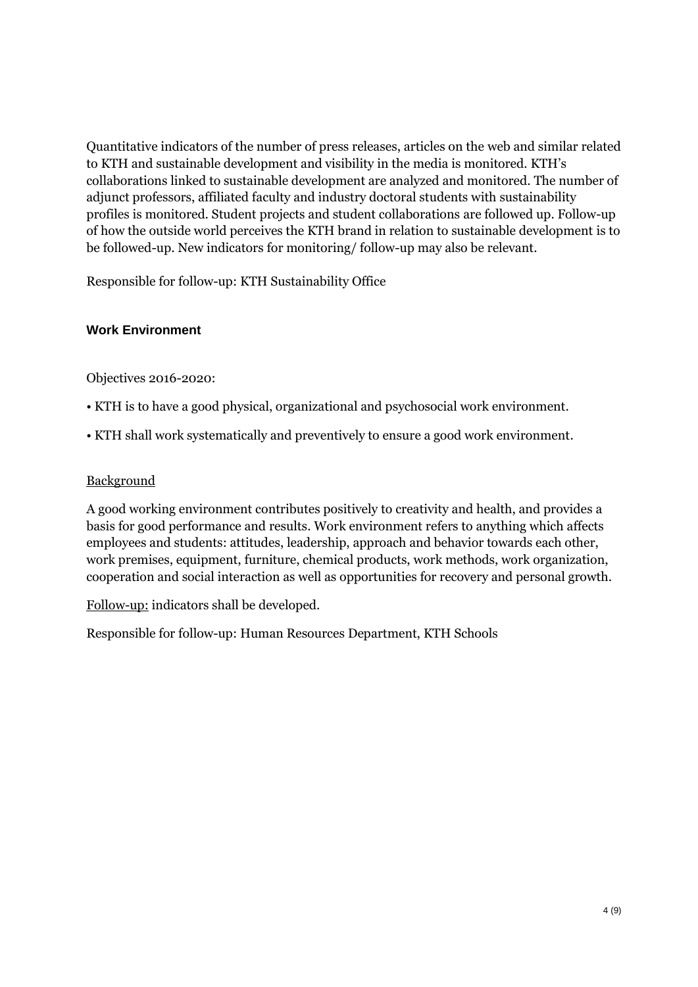Quantitative indicators of the number of press releases, articles on the web and similar related to KTH and sustainable development and visibility in the media is monitored. KTH's collaborations linked to sustainable development are analyzed and monitored. The number of adjunct professors, affiliated faculty and industry doctoral students with sustainability profiles is monitored. Student projects and student collaborations are followed up. Follow-up of how the outside world perceives the KTH brand in relation to sustainable development is to be followed-up. New indicators for monitoring/ follow-up may also be relevant.

Responsible for follow-up: KTH Sustainability Office

# **Work Environment**

Objectives 2016-2020:

- KTH is to have a good physical, organizational and psychosocial work environment.
- KTH shall work systematically and preventively to ensure a good work environment.

## **Background**

A good working environment contributes positively to creativity and health, and provides a basis for good performance and results. Work environment refers to anything which affects employees and students: attitudes, leadership, approach and behavior towards each other, work premises, equipment, furniture, chemical products, work methods, work organization, cooperation and social interaction as well as opportunities for recovery and personal growth.

Follow-up: indicators shall be developed.

Responsible for follow-up: Human Resources Department, KTH Schools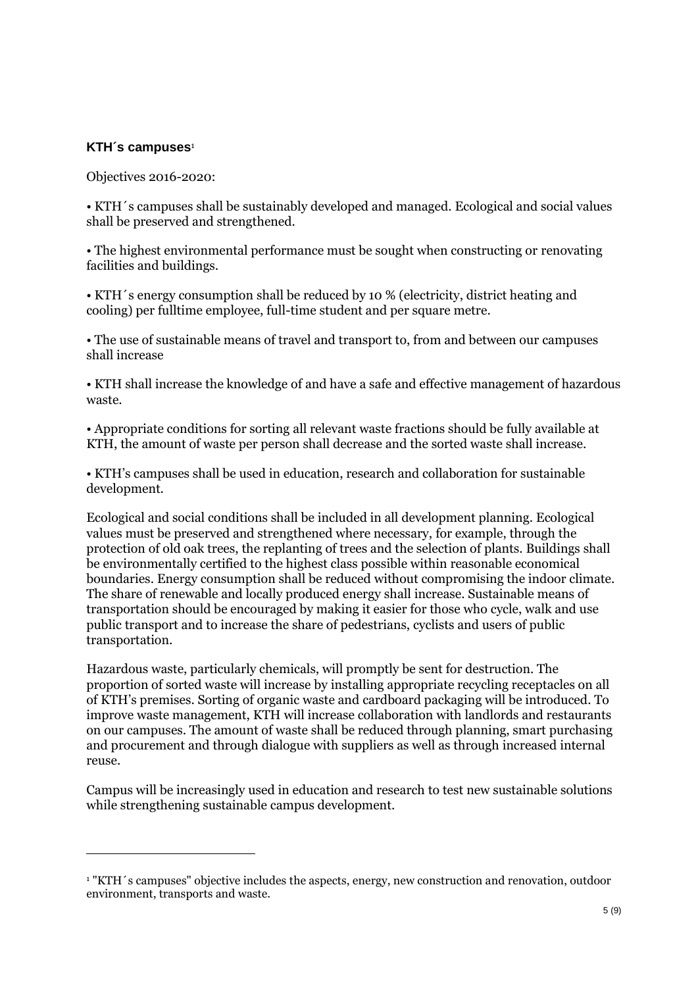## **KTH´s campuses**<sup>1</sup>

 $\overline{a}$ 

Objectives 2016-2020:

• KTH´s campuses shall be sustainably developed and managed. Ecological and social values shall be preserved and strengthened.

• The highest environmental performance must be sought when constructing or renovating facilities and buildings.

• KTH´s energy consumption shall be reduced by 10 % (electricity, district heating and cooling) per fulltime employee, full-time student and per square metre.

• The use of sustainable means of travel and transport to, from and between our campuses shall increase

• KTH shall increase the knowledge of and have a safe and effective management of hazardous waste.

• Appropriate conditions for sorting all relevant waste fractions should be fully available at KTH, the amount of waste per person shall decrease and the sorted waste shall increase.

• KTH's campuses shall be used in education, research and collaboration for sustainable development.

Ecological and social conditions shall be included in all development planning. Ecological values must be preserved and strengthened where necessary, for example, through the protection of old oak trees, the replanting of trees and the selection of plants. Buildings shall be environmentally certified to the highest class possible within reasonable economical boundaries. Energy consumption shall be reduced without compromising the indoor climate. The share of renewable and locally produced energy shall increase. Sustainable means of transportation should be encouraged by making it easier for those who cycle, walk and use public transport and to increase the share of pedestrians, cyclists and users of public transportation.

Hazardous waste, particularly chemicals, will promptly be sent for destruction. The proportion of sorted waste will increase by installing appropriate recycling receptacles on all of KTH's premises. Sorting of organic waste and cardboard packaging will be introduced. To improve waste management, KTH will increase collaboration with landlords and restaurants on our campuses. The amount of waste shall be reduced through planning, smart purchasing and procurement and through dialogue with suppliers as well as through increased internal reuse.

Campus will be increasingly used in education and research to test new sustainable solutions while strengthening sustainable campus development.

<sup>1</sup> "KTH´s campuses" objective includes the aspects, energy, new construction and renovation, outdoor environment, transports and waste.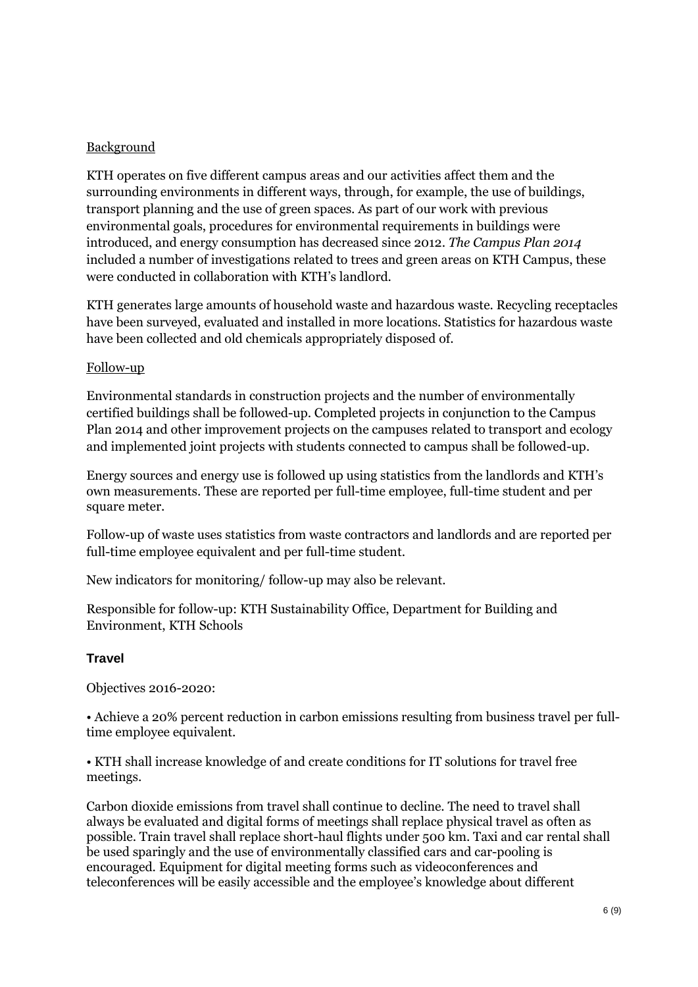# **Background**

KTH operates on five different campus areas and our activities affect them and the surrounding environments in different ways, through, for example, the use of buildings, transport planning and the use of green spaces. As part of our work with previous environmental goals, procedures for environmental requirements in buildings were introduced, and energy consumption has decreased since 2012. *The Campus Plan 2014* included a number of investigations related to trees and green areas on KTH Campus, these were conducted in collaboration with KTH's landlord.

KTH generates large amounts of household waste and hazardous waste. Recycling receptacles have been surveyed, evaluated and installed in more locations. Statistics for hazardous waste have been collected and old chemicals appropriately disposed of.

## Follow-up

Environmental standards in construction projects and the number of environmentally certified buildings shall be followed-up. Completed projects in conjunction to the Campus Plan 2014 and other improvement projects on the campuses related to transport and ecology and implemented joint projects with students connected to campus shall be followed-up.

Energy sources and energy use is followed up using statistics from the landlords and KTH's own measurements. These are reported per full-time employee, full-time student and per square meter.

Follow-up of waste uses statistics from waste contractors and landlords and are reported per full-time employee equivalent and per full-time student.

New indicators for monitoring/ follow-up may also be relevant.

Responsible for follow-up: KTH Sustainability Office, Department for Building and Environment, KTH Schools

## **Travel**

Objectives 2016-2020:

• Achieve a 20% percent reduction in carbon emissions resulting from business travel per fulltime employee equivalent.

• KTH shall increase knowledge of and create conditions for IT solutions for travel free meetings.

Carbon dioxide emissions from travel shall continue to decline. The need to travel shall always be evaluated and digital forms of meetings shall replace physical travel as often as possible. Train travel shall replace short-haul flights under 500 km. Taxi and car rental shall be used sparingly and the use of environmentally classified cars and car-pooling is encouraged. Equipment for digital meeting forms such as videoconferences and teleconferences will be easily accessible and the employee's knowledge about different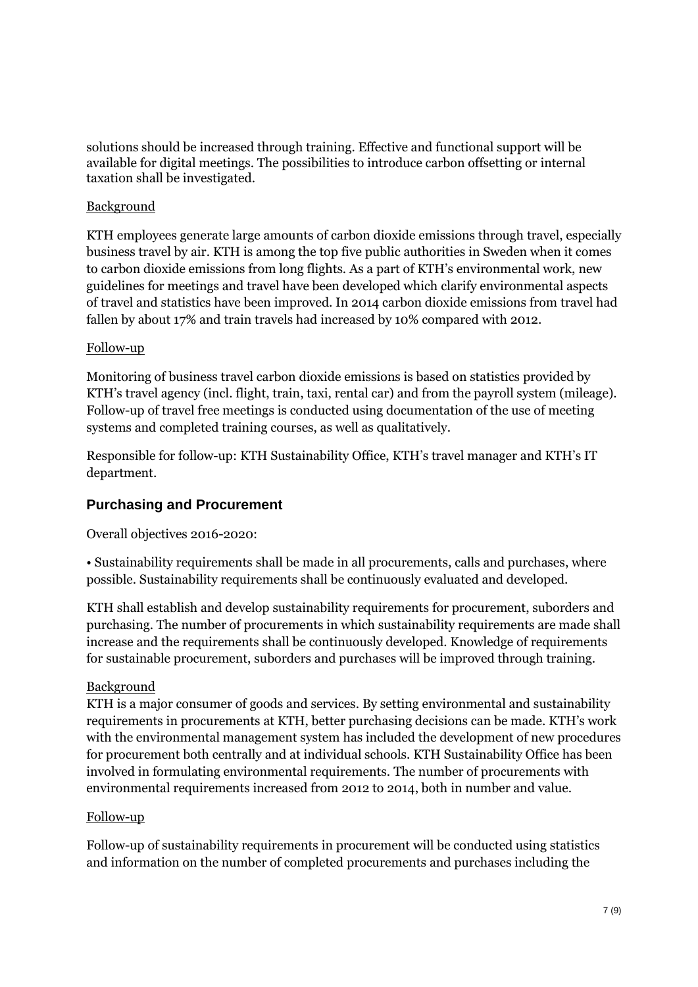solutions should be increased through training. Effective and functional support will be available for digital meetings. The possibilities to introduce carbon offsetting or internal taxation shall be investigated.

## Background

KTH employees generate large amounts of carbon dioxide emissions through travel, especially business travel by air. KTH is among the top five public authorities in Sweden when it comes to carbon dioxide emissions from long flights. As a part of KTH's environmental work, new guidelines for meetings and travel have been developed which clarify environmental aspects of travel and statistics have been improved. In 2014 carbon dioxide emissions from travel had fallen by about 17% and train travels had increased by 10% compared with 2012.

## Follow-up

Monitoring of business travel carbon dioxide emissions is based on statistics provided by KTH's travel agency (incl. flight, train, taxi, rental car) and from the payroll system (mileage). Follow-up of travel free meetings is conducted using documentation of the use of meeting systems and completed training courses, as well as qualitatively.

Responsible for follow-up: KTH Sustainability Office, KTH's travel manager and KTH's IT department.

# **Purchasing and Procurement**

Overall objectives 2016-2020:

• Sustainability requirements shall be made in all procurements, calls and purchases, where possible. Sustainability requirements shall be continuously evaluated and developed.

KTH shall establish and develop sustainability requirements for procurement, suborders and purchasing. The number of procurements in which sustainability requirements are made shall increase and the requirements shall be continuously developed. Knowledge of requirements for sustainable procurement, suborders and purchases will be improved through training.

## Background

KTH is a major consumer of goods and services. By setting environmental and sustainability requirements in procurements at KTH, better purchasing decisions can be made. KTH's work with the environmental management system has included the development of new procedures for procurement both centrally and at individual schools. KTH Sustainability Office has been involved in formulating environmental requirements. The number of procurements with environmental requirements increased from 2012 to 2014, both in number and value.

## Follow-up

Follow-up of sustainability requirements in procurement will be conducted using statistics and information on the number of completed procurements and purchases including the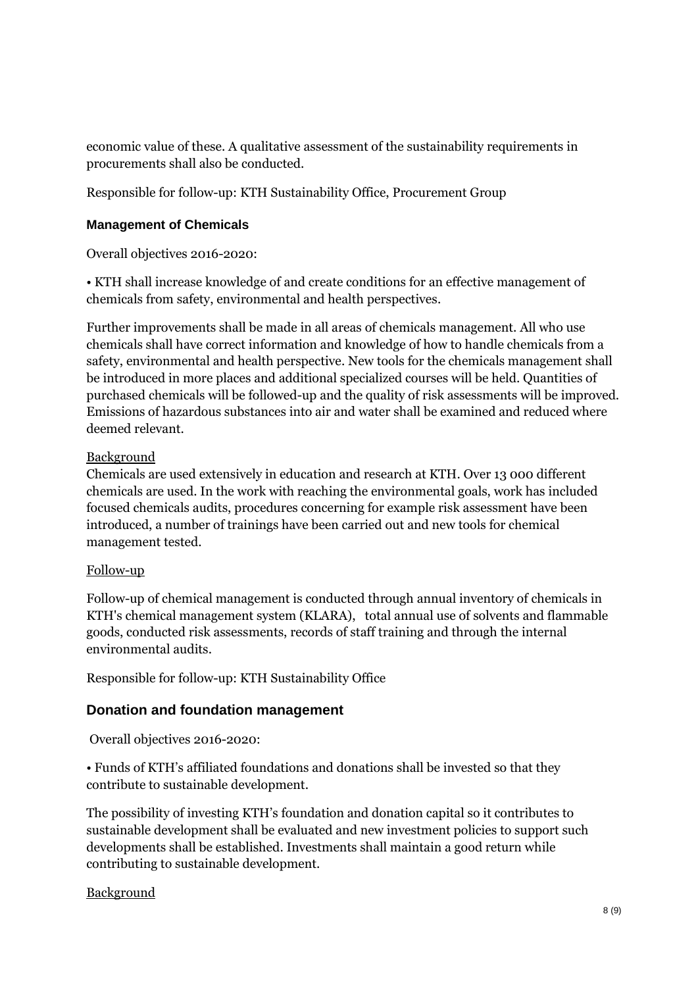economic value of these. A qualitative assessment of the sustainability requirements in procurements shall also be conducted.

Responsible for follow-up: KTH Sustainability Office, Procurement Group

## **Management of Chemicals**

Overall objectives 2016-2020:

• KTH shall increase knowledge of and create conditions for an effective management of chemicals from safety, environmental and health perspectives.

Further improvements shall be made in all areas of chemicals management. All who use chemicals shall have correct information and knowledge of how to handle chemicals from a safety, environmental and health perspective. New tools for the chemicals management shall be introduced in more places and additional specialized courses will be held. Quantities of purchased chemicals will be followed-up and the quality of risk assessments will be improved. Emissions of hazardous substances into air and water shall be examined and reduced where deemed relevant.

## Background

Chemicals are used extensively in education and research at KTH. Over 13 000 different chemicals are used. In the work with reaching the environmental goals, work has included focused chemicals audits, procedures concerning for example risk assessment have been introduced, a number of trainings have been carried out and new tools for chemical management tested.

## Follow-up

Follow-up of chemical management is conducted through annual inventory of chemicals in KTH's chemical management system (KLARA), total annual use of solvents and flammable goods, conducted risk assessments, records of staff training and through the internal environmental audits.

Responsible for follow-up: KTH Sustainability Office

# **Donation and foundation management**

Overall objectives 2016-2020:

• Funds of KTH's affiliated foundations and donations shall be invested so that they contribute to sustainable development.

The possibility of investing KTH's foundation and donation capital so it contributes to sustainable development shall be evaluated and new investment policies to support such developments shall be established. Investments shall maintain a good return while contributing to sustainable development.

## Background